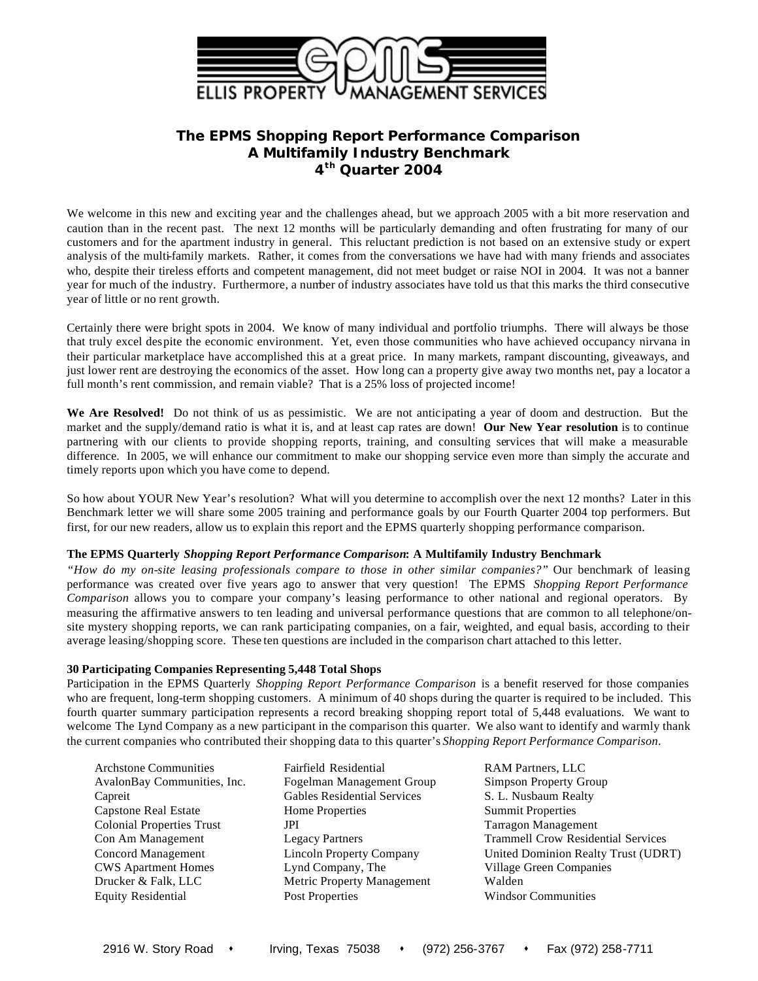

# **The EPMS** *Shopping Report Performance Comparison* **A Multifamily Industry Benchmark 4 th Quarter 2004**

We welcome in this new and exciting year and the challenges ahead, but we approach 2005 with a bit more reservation and caution than in the recent past. The next 12 months will be particularly demanding and often frustrating for many of our customers and for the apartment industry in general. This reluctant prediction is not based on an extensive study or expert analysis of the multi-family markets. Rather, it comes from the conversations we have had with many friends and associates who, despite their tireless efforts and competent management, did not meet budget or raise NOI in 2004. It was not a banner year for much of the industry. Furthermore, a number of industry associates have told us that this marks the third consecutive year of little or no rent growth.

Certainly there were bright spots in 2004. We know of many individual and portfolio triumphs. There will always be those that truly excel despite the economic environment. Yet, even those communities who have achieved occupancy nirvana in their particular marketplace have accomplished this at a great price. In many markets, rampant discounting, giveaways, and just lower rent are destroying the economics of the asset. How long can a property give away two months net, pay a locator a full month's rent commission, and remain viable? That is a 25% loss of projected income!

**We Are Resolved!** Do not think of us as pessimistic. We are not anticipating a year of doom and destruction. But the market and the supply/demand ratio is what it is, and at least cap rates are down! **Our New Year resolution** is to continue partnering with our clients to provide shopping reports, training, and consulting services that will make a measurable difference. In 2005, we will enhance our commitment to make our shopping service even more than simply the accurate and timely reports upon which you have come to depend.

So how about YOUR New Year's resolution? What will you determine to accomplish over the next 12 months? Later in this Benchmark letter we will share some 2005 training and performance goals by our Fourth Quarter 2004 top performers. But first, for our new readers, allow us to explain this report and the EPMS quarterly shopping performance comparison.

## **The EPMS Quarterly** *Shopping Report Performance Comparison***: A Multifamily Industry Benchmark**

*"How do my on-site leasing professionals compare to those in other similar companies?"* Our benchmark of leasing performance was created over five years ago to answer that very question! The EPMS *Shopping Report Performance Comparison* allows you to compare your company's leasing performance to other national and regional operators. By measuring the affirmative answers to ten leading and universal performance questions that are common to all telephone/onsite mystery shopping reports, we can rank participating companies, on a fair, weighted, and equal basis, according to their average leasing/shopping score. These ten questions are included in the comparison chart attached to this letter.

## **30 Participating Companies Representing 5,448 Total Shops**

Participation in the EPMS Quarterly *Shopping Report Performance Comparison* is a benefit reserved for those companies who are frequent, long-term shopping customers. A minimum of 40 shops during the quarter is required to be included. This fourth quarter summary participation represents a record breaking shopping report total of 5,448 evaluations. We want to welcome The Lynd Company as a new participant in the comparison this quarter. We also want to identify and warmly thank the current companies who contributed their shopping data to this quarter's *Shopping Report Performance Comparison*.

Archstone Communities Fairfield Residential RAM Partners, LLC

AvalonBay Communities, Inc. Fogelman Management Group Simpson Property Group Capreit Gables Residential Services S. L. Nusbaum Realty Capstone Real Estate Home Properties Summit Properties Colonial Properties Trust JPI JPI Tarragon Management CWS Apartment Homes Lynd Company, The Village Green Companies Drucker & Falk, LLC Metric Property Management Walden Equity Residential Post Properties Windsor Communities

Con Am Management Legacy Partners Trammell Crow Residential Services Concord Management Lincoln Property Company United Dominion Realty Trust (UDRT)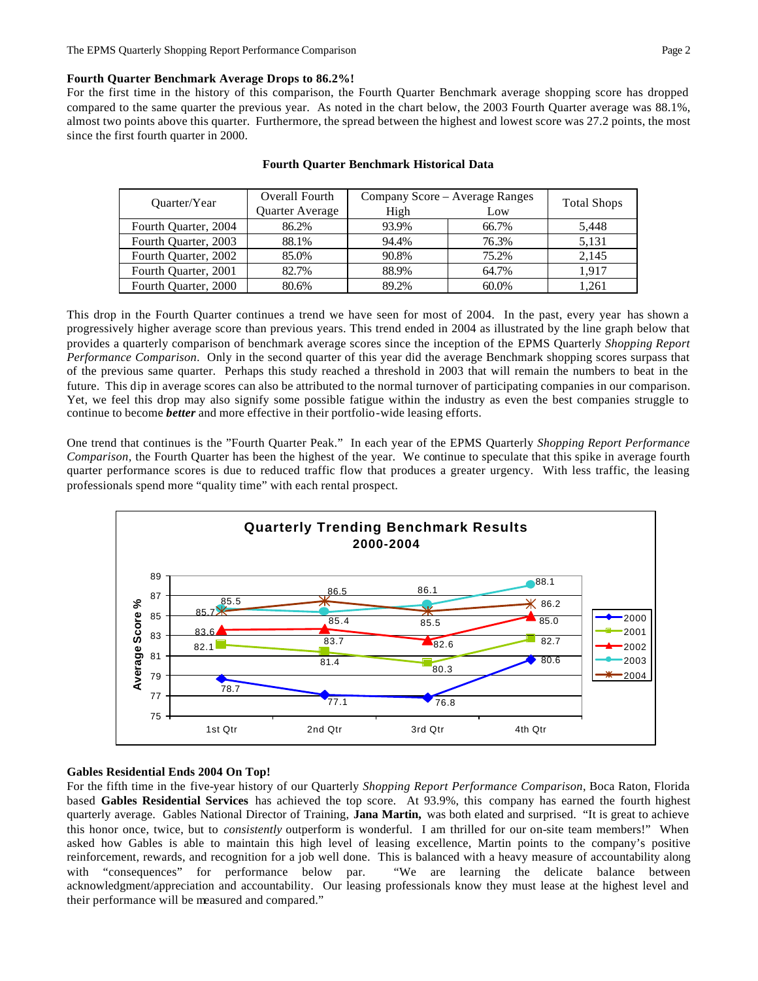#### **Fourth Quarter Benchmark Average Drops to 86.2%!**

For the first time in the history of this comparison, the Fourth Quarter Benchmark average shopping score has dropped compared to the same quarter the previous year. As noted in the chart below, the 2003 Fourth Quarter average was 88.1%, almost two points above this quarter. Furthermore, the spread between the highest and lowest score was 27.2 points, the most since the first fourth quarter in 2000.

| Ouarter/Year         | Overall Fourth  | Company Score - Average Ranges | <b>Total Shops</b> |       |  |
|----------------------|-----------------|--------------------------------|--------------------|-------|--|
|                      | Quarter Average | High                           | Low                |       |  |
| Fourth Quarter, 2004 | 86.2%           | 93.9%                          | 66.7%              | 5,448 |  |
| Fourth Quarter, 2003 | 88.1%           | 94.4%                          | 76.3%              | 5.131 |  |
| Fourth Quarter, 2002 | 85.0%           | 90.8%                          | 75.2%              | 2.145 |  |
| Fourth Quarter, 2001 | 82.7%           | 88.9%                          | 64.7%              | 1.917 |  |
| Fourth Quarter, 2000 | 80.6%           | 89.2%                          | 60.0%              | 1.261 |  |

#### **Fourth Quarter Benchmark Historical Data**

This drop in the Fourth Quarter continues a trend we have seen for most of 2004. In the past, every year has shown a progressively higher average score than previous years. This trend ended in 2004 as illustrated by the line graph below that provides a quarterly comparison of benchmark average scores since the inception of the EPMS Quarterly *Shopping Report Performance Comparison*. Only in the second quarter of this year did the average Benchmark shopping scores surpass that of the previous same quarter. Perhaps this study reached a threshold in 2003 that will remain the numbers to beat in the future. This dip in average scores can also be attributed to the normal turnover of participating companies in our comparison. Yet, we feel this drop may also signify some possible fatigue within the industry as even the best companies struggle to continue to become *better* and more effective in their portfolio-wide leasing efforts.

One trend that continues is the "Fourth Quarter Peak." In each year of the EPMS Quarterly *Shopping Report Performance Comparison,* the Fourth Quarter has been the highest of the year. We continue to speculate that this spike in average fourth quarter performance scores is due to reduced traffic flow that produces a greater urgency. With less traffic, the leasing professionals spend more "quality time" with each rental prospect.



#### **Gables Residential Ends 2004 On Top!**

For the fifth time in the five-year history of our Quarterly *Shopping Report Performance Comparison*, Boca Raton, Florida based **Gables Residential Services** has achieved the top score. At 93.9%, this company has earned the fourth highest quarterly average. Gables National Director of Training, **Jana Martin,** was both elated and surprised. "It is great to achieve this honor once, twice, but to *consistently* outperform is wonderful. I am thrilled for our on-site team members!" When asked how Gables is able to maintain this high level of leasing excellence, Martin points to the company's positive reinforcement, rewards, and recognition for a job well done. This is balanced with a heavy measure of accountability along with "consequences" for performance below par. "We are learning the delicate balance between acknowledgment/appreciation and accountability. Our leasing professionals know they must lease at the highest level and their performance will be measured and compared."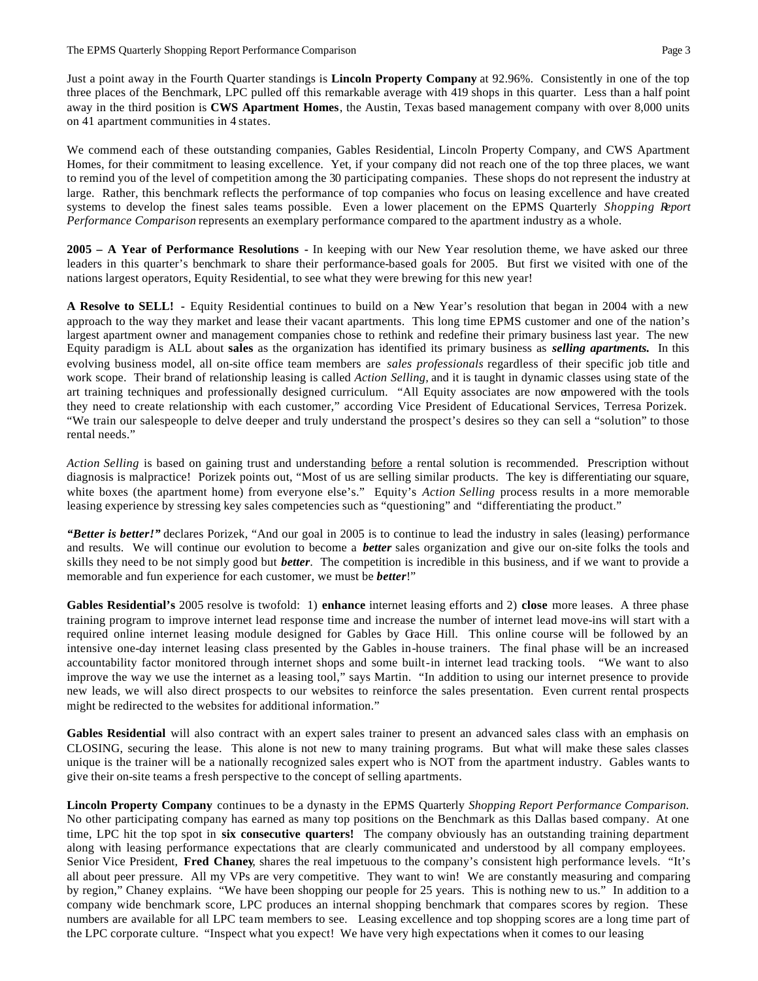Just a point away in the Fourth Quarter standings is **Lincoln Property Company** at 92.96%. Consistently in one of the top three places of the Benchmark, LPC pulled off this remarkable average with 419 shops in this quarter. Less than a half point away in the third position is **CWS Apartment Homes**, the Austin, Texas based management company with over 8,000 units on 41 apartment communities in 4 states.

We commend each of these outstanding companies, Gables Residential, Lincoln Property Company, and CWS Apartment Homes, for their commitment to leasing excellence. Yet, if your company did not reach one of the top three places, we want to remind you of the level of competition among the 30 participating companies. These shops do not represent the industry at large. Rather, this benchmark reflects the performance of top companies who focus on leasing excellence and have created systems to develop the finest sales teams possible. Even a lower placement on the EPMS Quarterly *Shopping Report Performance Comparison* represents an exemplary performance compared to the apartment industry as a whole.

**2005 – A Year of Performance Resolutions -** In keeping with our New Year resolution theme, we have asked our three leaders in this quarter's benchmark to share their performance-based goals for 2005. But first we visited with one of the nations largest operators, Equity Residential, to see what they were brewing for this new year!

**A Resolve to SELL! -** Equity Residential continues to build on a New Year's resolution that began in 2004 with a new approach to the way they market and lease their vacant apartments. This long time EPMS customer and one of the nation's largest apartment owner and management companies chose to rethink and redefine their primary business last year. The new Equity paradigm is ALL about **sales** as the organization has identified its primary business as *selling apartments.* In this evolving business model, all on-site office team members are *sales professionals* regardless of their specific job title and work scope. Their brand of relationship leasing is called *Action Selling,* and it is taught in dynamic classes using state of the art training techniques and professionally designed curriculum. "All Equity associates are now empowered with the tools they need to create relationship with each customer," according Vice President of Educational Services, Terresa Porizek. "We train our salespeople to delve deeper and truly understand the prospect's desires so they can sell a "solution" to those rental needs."

*Action Selling* is based on gaining trust and understanding before a rental solution is recommended. Prescription without diagnosis is malpractice! Porizek points out, "Most of us are selling similar products. The key is differentiating our square, white boxes (the apartment home) from everyone else's." Equity's *Action Selling* process results in a more memorable leasing experience by stressing key sales competencies such as "questioning" and "differentiating the product."

*"Better is better!"* declares Porizek, "And our goal in 2005 is to continue to lead the industry in sales (leasing) performance and results. We will continue our evolution to become a *better* sales organization and give our on-site folks the tools and skills they need to be not simply good but *better*. The competition is incredible in this business, and if we want to provide a memorable and fun experience for each customer, we must be *better*!"

**Gables Residential's** 2005 resolve is twofold: 1) **enhance** internet leasing efforts and 2) **close** more leases. A three phase training program to improve internet lead response time and increase the number of internet lead move-ins will start with a required online internet leasing module designed for Gables by Grace Hill. This online course will be followed by an intensive one-day internet leasing class presented by the Gables in-house trainers. The final phase will be an increased accountability factor monitored through internet shops and some built-in internet lead tracking tools. "We want to also improve the way we use the internet as a leasing tool," says Martin. "In addition to using our internet presence to provide new leads, we will also direct prospects to our websites to reinforce the sales presentation. Even current rental prospects might be redirected to the websites for additional information."

**Gables Residential** will also contract with an expert sales trainer to present an advanced sales class with an emphasis on CLOSING, securing the lease. This alone is not new to many training programs. But what will make these sales classes unique is the trainer will be a nationally recognized sales expert who is NOT from the apartment industry. Gables wants to give their on-site teams a fresh perspective to the concept of selling apartments.

**Lincoln Property Company** continues to be a dynasty in the EPMS Quarterly *Shopping Report Performance Comparison.*  No other participating company has earned as many top positions on the Benchmark as this Dallas based company. At one time, LPC hit the top spot in **six consecutive quarters!** The company obviously has an outstanding training department along with leasing performance expectations that are clearly communicated and understood by all company employees. Senior Vice President, **Fred Chaney**, shares the real impetuous to the company's consistent high performance levels. "It's all about peer pressure. All my VPs are very competitive. They want to win! We are constantly measuring and comparing by region," Chaney explains. "We have been shopping our people for 25 years. This is nothing new to us." In addition to a company wide benchmark score, LPC produces an internal shopping benchmark that compares scores by region. These numbers are available for all LPC team members to see. Leasing excellence and top shopping scores are a long time part of the LPC corporate culture. "Inspect what you expect! We have very high expectations when it comes to our leasing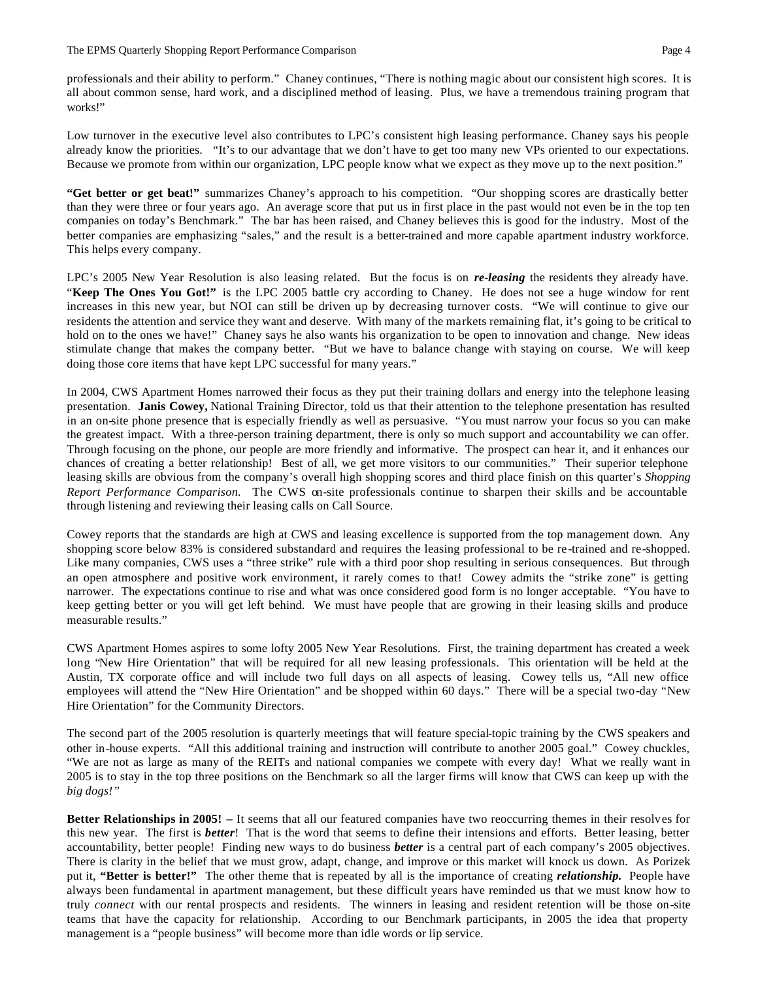professionals and their ability to perform." Chaney continues, "There is nothing magic about our consistent high scores. It is all about common sense, hard work, and a disciplined method of leasing. Plus, we have a tremendous training program that works!"

Low turnover in the executive level also contributes to LPC's consistent high leasing performance. Chaney says his people already know the priorities. "It's to our advantage that we don't have to get too many new VPs oriented to our expectations. Because we promote from within our organization, LPC people know what we expect as they move up to the next position."

**"Get better or get beat!"** summarizes Chaney's approach to his competition. "Our shopping scores are drastically better than they were three or four years ago. An average score that put us in first place in the past would not even be in the top ten companies on today's Benchmark." The bar has been raised, and Chaney believes this is good for the industry. Most of the better companies are emphasizing "sales," and the result is a better-trained and more capable apartment industry workforce. This helps every company.

LPC's 2005 New Year Resolution is also leasing related. But the focus is on *re-leasing* the residents they already have. "**Keep The Ones You Got!"** is the LPC 2005 battle cry according to Chaney. He does not see a huge window for rent increases in this new year, but NOI can still be driven up by decreasing turnover costs. "We will continue to give our residents the attention and service they want and deserve. With many of the markets remaining flat, it's going to be critical to hold on to the ones we have!" Chaney says he also wants his organization to be open to innovation and change. New ideas stimulate change that makes the company better. "But we have to balance change with staying on course. We will keep doing those core items that have kept LPC successful for many years."

In 2004, CWS Apartment Homes narrowed their focus as they put their training dollars and energy into the telephone leasing presentation. **Janis Cowey,** National Training Director, told us that their attention to the telephone presentation has resulted in an on-site phone presence that is especially friendly as well as persuasive. "You must narrow your focus so you can make the greatest impact. With a three-person training department, there is only so much support and accountability we can offer. Through focusing on the phone, our people are more friendly and informative. The prospect can hear it, and it enhances our chances of creating a better relationship! Best of all, we get more visitors to our communities." Their superior telephone leasing skills are obvious from the company's overall high shopping scores and third place finish on this quarter's *Shopping Report Performance Comparison.* The CWS on-site professionals continue to sharpen their skills and be accountable through listening and reviewing their leasing calls on Call Source.

Cowey reports that the standards are high at CWS and leasing excellence is supported from the top management down. Any shopping score below 83% is considered substandard and requires the leasing professional to be re-trained and re-shopped. Like many companies, CWS uses a "three strike" rule with a third poor shop resulting in serious consequences. But through an open atmosphere and positive work environment, it rarely comes to that! Cowey admits the "strike zone" is getting narrower. The expectations continue to rise and what was once considered good form is no longer acceptable. "You have to keep getting better or you will get left behind. We must have people that are growing in their leasing skills and produce measurable results."

CWS Apartment Homes aspires to some lofty 2005 New Year Resolutions. First, the training department has created a week long "New Hire Orientation" that will be required for all new leasing professionals. This orientation will be held at the Austin, TX corporate office and will include two full days on all aspects of leasing. Cowey tells us, "All new office employees will attend the "New Hire Orientation" and be shopped within 60 days." There will be a special two-day "New Hire Orientation" for the Community Directors.

The second part of the 2005 resolution is quarterly meetings that will feature special-topic training by the CWS speakers and other in-house experts. "All this additional training and instruction will contribute to another 2005 goal." Cowey chuckles, "We are not as large as many of the REITs and national companies we compete with every day! What we really want in 2005 is to stay in the top three positions on the Benchmark so all the larger firms will know that CWS can keep up with the *big dogs!"*

**Better Relationships in 2005!** – It seems that all our featured companies have two reoccurring themes in their resolves for this new year. The first is *better*! That is the word that seems to define their intensions and efforts. Better leasing, better accountability, better people! Finding new ways to do business *better* is a central part of each company's 2005 objectives. There is clarity in the belief that we must grow, adapt, change, and improve or this market will knock us down. As Porizek put it, **"Better is better!"** The other theme that is repeated by all is the importance of creating *relationship.* People have always been fundamental in apartment management, but these difficult years have reminded us that we must know how to truly *connect* with our rental prospects and residents. The winners in leasing and resident retention will be those on-site teams that have the capacity for relationship. According to our Benchmark participants, in 2005 the idea that property management is a "people business" will become more than idle words or lip service.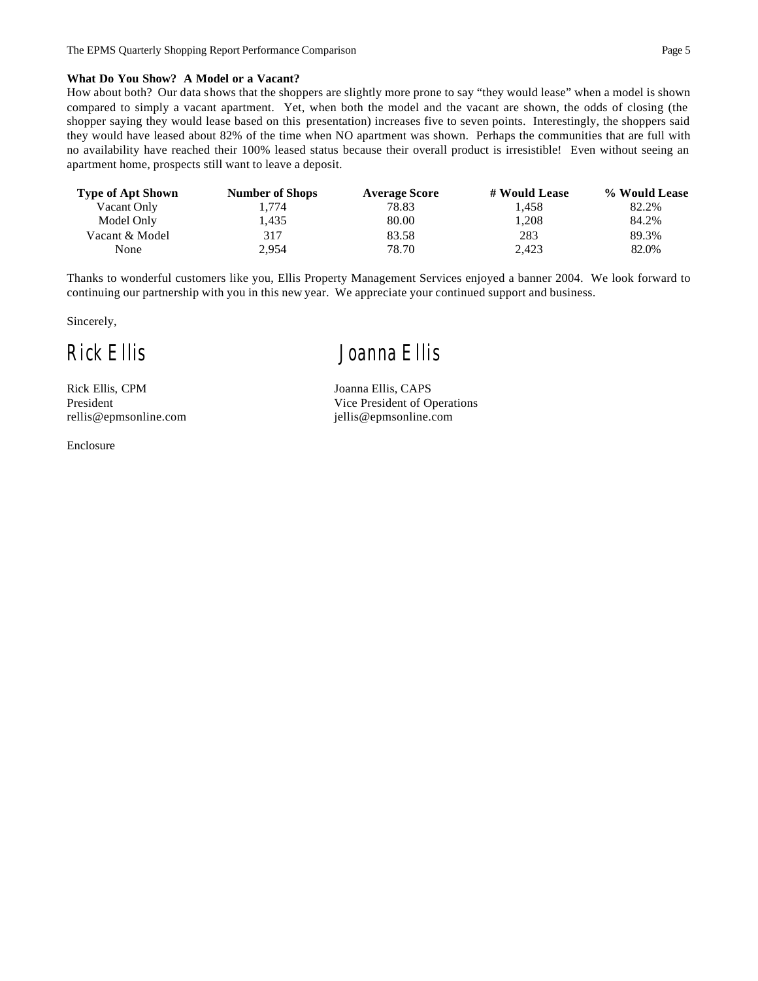#### **What Do You Show? A Model or a Vacant?**

How about both? Our data shows that the shoppers are slightly more prone to say "they would lease" when a model is shown compared to simply a vacant apartment. Yet, when both the model and the vacant are shown, the odds of closing (the shopper saying they would lease based on this presentation) increases five to seven points. Interestingly, the shoppers said they would have leased about 82% of the time when NO apartment was shown. Perhaps the communities that are full with no availability have reached their 100% leased status because their overall product is irresistible! Even without seeing an apartment home, prospects still want to leave a deposit.

| <b>Type of Apt Shown</b> | <b>Number of Shops</b> | <b>Average Score</b> | # Would Lease | % Would Lease |
|--------------------------|------------------------|----------------------|---------------|---------------|
| Vacant Only              | 1.774                  | 78.83                | 1.458         | 82.2%         |
| Model Only               | 1.435                  | 80.00                | 1.208         | 84.2%         |
| Vacant & Model           | 317                    | 83.58                | 283           | 89.3%         |
| None                     | 2,954                  | 78.70                | 2,423         | 82.0%         |

Thanks to wonderful customers like you, Ellis Property Management Services enjoyed a banner 2004. We look forward to continuing our partnership with you in this new year. We appreciate your continued support and business.

Sincerely,

Rick Ellis, CPM Joanna Ellis, CAPS

Enclosure

*Rick Ellis Joanna Ellis*

President Vice President of Operations rellis@epmsonline.com jellis@epmsonline.com